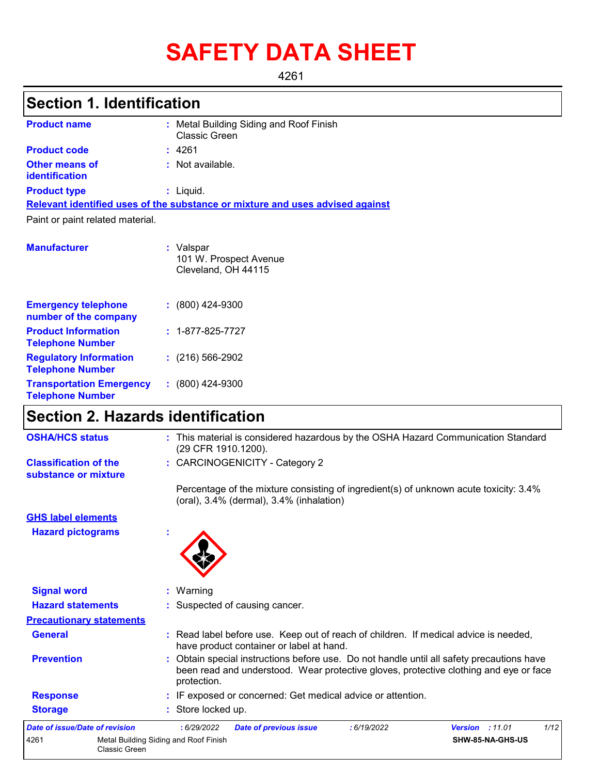# **SAFETY DATA SHEET**

4261

# **Section 1. Identification**

| <b>Product name</b>                                 | : Metal Building Siding and Roof Finish<br>Classic Green                      |
|-----------------------------------------------------|-------------------------------------------------------------------------------|
| <b>Product code</b>                                 | : 4261                                                                        |
| <b>Other means of</b><br>identification             | : Not available.                                                              |
| <b>Product type</b>                                 | $:$ Liquid.                                                                   |
|                                                     | Relevant identified uses of the substance or mixture and uses advised against |
| Paint or paint related material.                    |                                                                               |
|                                                     |                                                                               |
| <b>Manufacturer</b>                                 | : Valspar<br>101 W. Prospect Avenue<br>Cleveland, OH 44115                    |
| <b>Emergency telephone</b><br>number of the company | $: (800)$ 424-9300                                                            |

| <b>Product Information</b><br><b>Telephone Number</b>      | $: 1 - 877 - 825 - 7727$ |
|------------------------------------------------------------|--------------------------|
| <b>Regulatory Information</b><br><b>Telephone Number</b>   | $(216)$ 566-2902         |
| <b>Transportation Emergency</b><br><b>Telephone Number</b> | $: (800)$ 424-9300       |

# **Section 2. Hazards identification**

| <b>OSHA/HCS status</b>                               |                                                               | : This material is considered hazardous by the OSHA Hazard Communication Standard<br>(29 CFR 1910.1200).                                                                                        |
|------------------------------------------------------|---------------------------------------------------------------|-------------------------------------------------------------------------------------------------------------------------------------------------------------------------------------------------|
| <b>Classification of the</b><br>substance or mixture |                                                               | : CARCINOGENICITY - Category 2                                                                                                                                                                  |
|                                                      |                                                               | Percentage of the mixture consisting of ingredient(s) of unknown acute toxicity: 3.4%<br>$($ oral $)$ , 3.4% $($ dermal $)$ , 3.4% $($ inhalation $)$                                           |
| <b>GHS label elements</b>                            |                                                               |                                                                                                                                                                                                 |
| <b>Hazard pictograms</b>                             |                                                               |                                                                                                                                                                                                 |
| <b>Signal word</b>                                   |                                                               | : Warning                                                                                                                                                                                       |
| <b>Hazard statements</b>                             |                                                               | : Suspected of causing cancer.                                                                                                                                                                  |
| <b>Precautionary statements</b>                      |                                                               |                                                                                                                                                                                                 |
| <b>General</b>                                       |                                                               | : Read label before use. Keep out of reach of children. If medical advice is needed,<br>have product container or label at hand.                                                                |
| <b>Prevention</b>                                    |                                                               | Obtain special instructions before use. Do not handle until all safety precautions have<br>been read and understood. Wear protective gloves, protective clothing and eye or face<br>protection. |
| <b>Response</b>                                      |                                                               | : IF exposed or concerned: Get medical advice or attention.                                                                                                                                     |
| <b>Storage</b>                                       |                                                               | : Store locked up.                                                                                                                                                                              |
| <b>Date of issue/Date of revision</b>                |                                                               | 1/12<br><b>Version : 11.01</b><br>:6/29/2022<br><b>Date of previous issue</b><br>:6/19/2022                                                                                                     |
| 4261                                                 | Metal Building Siding and Roof Finish<br><b>Classic Green</b> | SHW-85-NA-GHS-US                                                                                                                                                                                |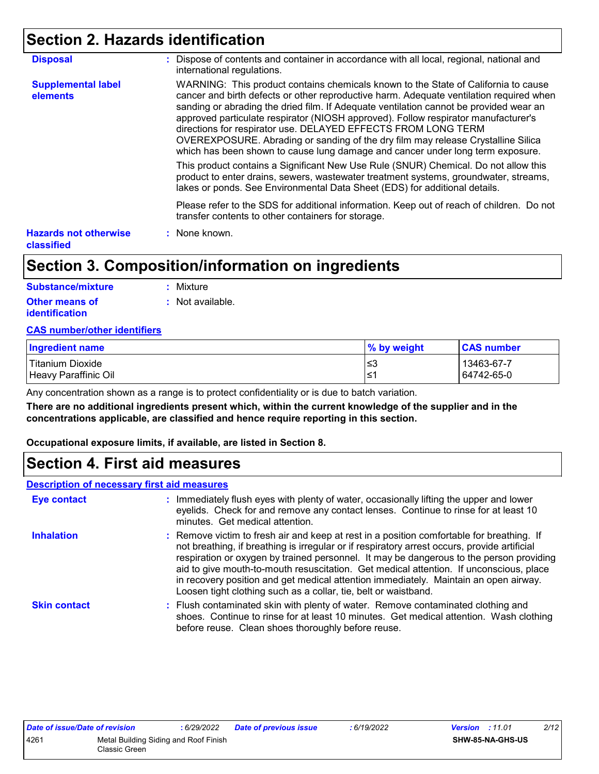### **Section 2. Hazards identification**

| <b>Disposal</b>                            | : Dispose of contents and container in accordance with all local, regional, national and<br>international regulations.                                                                                                                                                                                                                                                                                                                                                                                                                                                                               |
|--------------------------------------------|------------------------------------------------------------------------------------------------------------------------------------------------------------------------------------------------------------------------------------------------------------------------------------------------------------------------------------------------------------------------------------------------------------------------------------------------------------------------------------------------------------------------------------------------------------------------------------------------------|
| <b>Supplemental label</b><br>elements      | WARNING: This product contains chemicals known to the State of California to cause<br>cancer and birth defects or other reproductive harm. Adequate ventilation required when<br>sanding or abrading the dried film. If Adequate ventilation cannot be provided wear an<br>approved particulate respirator (NIOSH approved). Follow respirator manufacturer's<br>directions for respirator use. DELAYED EFFECTS FROM LONG TERM<br>OVEREXPOSURE. Abrading or sanding of the dry film may release Crystalline Silica<br>which has been shown to cause lung damage and cancer under long term exposure. |
|                                            | This product contains a Significant New Use Rule (SNUR) Chemical. Do not allow this<br>product to enter drains, sewers, wastewater treatment systems, groundwater, streams,<br>lakes or ponds. See Environmental Data Sheet (EDS) for additional details.                                                                                                                                                                                                                                                                                                                                            |
|                                            | Please refer to the SDS for additional information. Keep out of reach of children. Do not<br>transfer contents to other containers for storage.                                                                                                                                                                                                                                                                                                                                                                                                                                                      |
| <b>Hazards not otherwise</b><br>classified | : None known.                                                                                                                                                                                                                                                                                                                                                                                                                                                                                                                                                                                        |

### **Section 3. Composition/information on ingredients**

| Substance/mixture                       | : Mixture        |
|-----------------------------------------|------------------|
| <b>Other means of</b><br>identification | : Not available. |

#### **CAS number/other identifiers**

| <b>Ingredient name</b> | % by weight | <b>CAS number</b> |
|------------------------|-------------|-------------------|
| Titanium Dioxide       | l≤3         | 13463-67-7        |
| Heavy Paraffinic Oil   | ∙≥ ا        | 64742-65-0        |

Any concentration shown as a range is to protect confidentiality or is due to batch variation.

**There are no additional ingredients present which, within the current knowledge of the supplier and in the concentrations applicable, are classified and hence require reporting in this section.**

**Occupational exposure limits, if available, are listed in Section 8.**

### **Section 4. First aid measures**

#### **Description of necessary first aid measures**

| <b>Eye contact</b>  | : Immediately flush eyes with plenty of water, occasionally lifting the upper and lower<br>eyelids. Check for and remove any contact lenses. Continue to rinse for at least 10<br>minutes. Get medical attention.                                                                                                                                                                                                                                                                                                                         |
|---------------------|-------------------------------------------------------------------------------------------------------------------------------------------------------------------------------------------------------------------------------------------------------------------------------------------------------------------------------------------------------------------------------------------------------------------------------------------------------------------------------------------------------------------------------------------|
| <b>Inhalation</b>   | : Remove victim to fresh air and keep at rest in a position comfortable for breathing. If<br>not breathing, if breathing is irregular or if respiratory arrest occurs, provide artificial<br>respiration or oxygen by trained personnel. It may be dangerous to the person providing<br>aid to give mouth-to-mouth resuscitation. Get medical attention. If unconscious, place<br>in recovery position and get medical attention immediately. Maintain an open airway.<br>Loosen tight clothing such as a collar, tie, belt or waistband. |
| <b>Skin contact</b> | : Flush contaminated skin with plenty of water. Remove contaminated clothing and<br>shoes. Continue to rinse for at least 10 minutes. Get medical attention. Wash clothing<br>before reuse. Clean shoes thoroughly before reuse.                                                                                                                                                                                                                                                                                                          |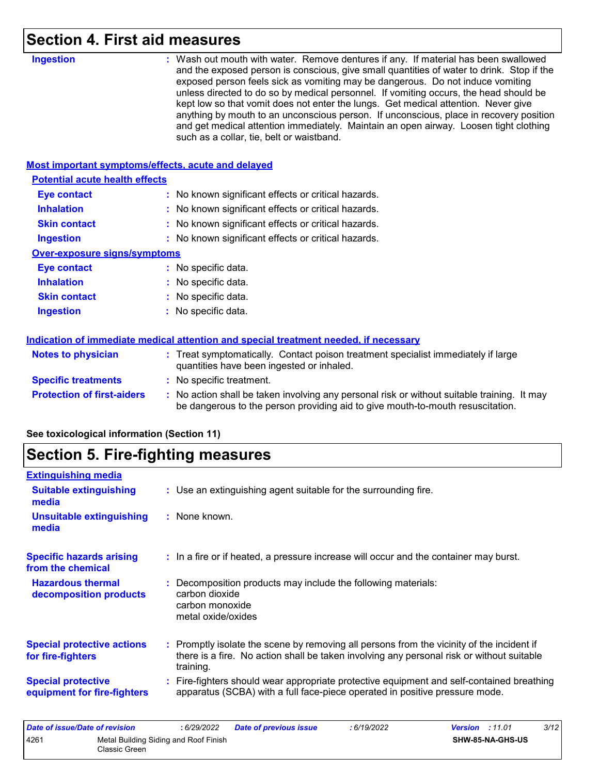### **Section 4. First aid measures**

| <b>Ingestion</b>                                          | : Wash out mouth with water. Remove dentures if any. If material has been swallowed<br>and the exposed person is conscious, give small quantities of water to drink. Stop if the<br>exposed person feels sick as vomiting may be dangerous. Do not induce vomiting<br>unless directed to do so by medical personnel. If vomiting occurs, the head should be<br>kept low so that vomit does not enter the lungs. Get medical attention. Never give<br>anything by mouth to an unconscious person. If unconscious, place in recovery position<br>and get medical attention immediately. Maintain an open airway. Loosen tight clothing<br>such as a collar, tie, belt or waistband. |
|-----------------------------------------------------------|-----------------------------------------------------------------------------------------------------------------------------------------------------------------------------------------------------------------------------------------------------------------------------------------------------------------------------------------------------------------------------------------------------------------------------------------------------------------------------------------------------------------------------------------------------------------------------------------------------------------------------------------------------------------------------------|
|                                                           |                                                                                                                                                                                                                                                                                                                                                                                                                                                                                                                                                                                                                                                                                   |
|                                                           |                                                                                                                                                                                                                                                                                                                                                                                                                                                                                                                                                                                                                                                                                   |
| <b>Most important symptoms/effects, acute and delayed</b> |                                                                                                                                                                                                                                                                                                                                                                                                                                                                                                                                                                                                                                                                                   |
| <b>Potential acute health effects</b>                     |                                                                                                                                                                                                                                                                                                                                                                                                                                                                                                                                                                                                                                                                                   |
| <b>Eye contact</b>                                        | : No known significant effects or critical hazards.                                                                                                                                                                                                                                                                                                                                                                                                                                                                                                                                                                                                                               |
| <b>Inhalation</b>                                         | : No known significant effects or critical hazards.                                                                                                                                                                                                                                                                                                                                                                                                                                                                                                                                                                                                                               |
| <b>Skin contact</b>                                       | : No known significant effects or critical hazards.                                                                                                                                                                                                                                                                                                                                                                                                                                                                                                                                                                                                                               |
| <b>Ingestion</b>                                          | : No known significant effects or critical hazards.                                                                                                                                                                                                                                                                                                                                                                                                                                                                                                                                                                                                                               |
| <b>Over-exposure signs/symptoms</b>                       |                                                                                                                                                                                                                                                                                                                                                                                                                                                                                                                                                                                                                                                                                   |
| <b>Eye contact</b>                                        | : No specific data.                                                                                                                                                                                                                                                                                                                                                                                                                                                                                                                                                                                                                                                               |
| <b>Inhalation</b>                                         | : No specific data.                                                                                                                                                                                                                                                                                                                                                                                                                                                                                                                                                                                                                                                               |
| <b>Skin contact</b>                                       | : No specific data.                                                                                                                                                                                                                                                                                                                                                                                                                                                                                                                                                                                                                                                               |
| <b>Ingestion</b>                                          | : No specific data.                                                                                                                                                                                                                                                                                                                                                                                                                                                                                                                                                                                                                                                               |
|                                                           | Indication of immediate medical attention and special treatment needed, if necessary                                                                                                                                                                                                                                                                                                                                                                                                                                                                                                                                                                                              |
| <b>Notes to physician</b>                                 | : Treat symptomatically. Contact poison treatment specialist immediately if large<br>quantities have been ingested or inhaled.                                                                                                                                                                                                                                                                                                                                                                                                                                                                                                                                                    |
| <b>Specific treatments</b>                                | : No specific treatment.                                                                                                                                                                                                                                                                                                                                                                                                                                                                                                                                                                                                                                                          |
| <b>Protection of first-aiders</b>                         | : No action shall be taken involving any personal risk or without suitable training. It may<br>be dangerous to the person providing aid to give mouth-to-mouth resuscitation.                                                                                                                                                                                                                                                                                                                                                                                                                                                                                                     |

### **See toxicological information (Section 11)**

# **Section 5. Fire-fighting measures**

| <b>Extinguishing media</b>                               |                                                                                                                                                                                                   |
|----------------------------------------------------------|---------------------------------------------------------------------------------------------------------------------------------------------------------------------------------------------------|
| <b>Suitable extinguishing</b><br>media                   | : Use an extinguishing agent suitable for the surrounding fire.                                                                                                                                   |
| <b>Unsuitable extinguishing</b><br>media                 | : None known.                                                                                                                                                                                     |
| <b>Specific hazards arising</b><br>from the chemical     | : In a fire or if heated, a pressure increase will occur and the container may burst.                                                                                                             |
| <b>Hazardous thermal</b><br>decomposition products       | Decomposition products may include the following materials:<br>carbon dioxide<br>carbon monoxide<br>metal oxide/oxides                                                                            |
| <b>Special protective actions</b><br>for fire-fighters   | Promptly isolate the scene by removing all persons from the vicinity of the incident if<br>there is a fire. No action shall be taken involving any personal risk or without suitable<br>training. |
| <b>Special protective</b><br>equipment for fire-fighters | Fire-fighters should wear appropriate protective equipment and self-contained breathing<br>apparatus (SCBA) with a full face-piece operated in positive pressure mode.                            |

| Date of issue/Date of revision |                                                        | : 6/29/2022 | <b>Date of previous issue</b> | 6/19/2022 | <b>Version</b> : 11.01 |                         | 3/12 |
|--------------------------------|--------------------------------------------------------|-------------|-------------------------------|-----------|------------------------|-------------------------|------|
| 4261                           | Metal Building Siding and Roof Finish<br>Classic Green |             |                               |           |                        | <b>SHW-85-NA-GHS-US</b> |      |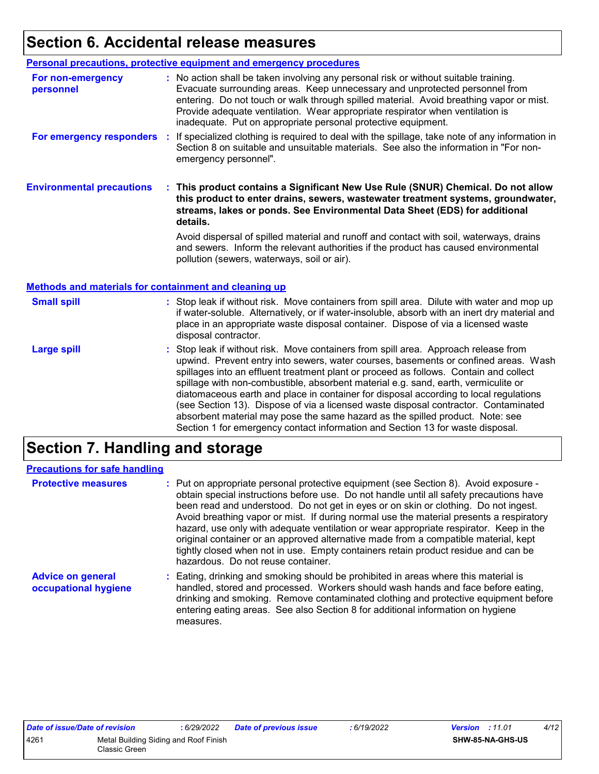# **Section 6. Accidental release measures**

|                                                                                    | Personal precautions, protective equipment and emergency procedures                                                                                                                                                                                                                                                                                                                                              |
|------------------------------------------------------------------------------------|------------------------------------------------------------------------------------------------------------------------------------------------------------------------------------------------------------------------------------------------------------------------------------------------------------------------------------------------------------------------------------------------------------------|
| For non-emergency<br>personnel                                                     | : No action shall be taken involving any personal risk or without suitable training.<br>Evacuate surrounding areas. Keep unnecessary and unprotected personnel from<br>entering. Do not touch or walk through spilled material. Avoid breathing vapor or mist.<br>Provide adequate ventilation. Wear appropriate respirator when ventilation is<br>inadequate. Put on appropriate personal protective equipment. |
| For emergency responders                                                           | If specialized clothing is required to deal with the spillage, take note of any information in<br>÷.<br>Section 8 on suitable and unsuitable materials. See also the information in "For non-<br>emergency personnel".                                                                                                                                                                                           |
| <b>Environmental precautions</b>                                                   | This product contains a Significant New Use Rule (SNUR) Chemical. Do not allow<br>this product to enter drains, sewers, wastewater treatment systems, groundwater,<br>streams, lakes or ponds. See Environmental Data Sheet (EDS) for additional<br>details.                                                                                                                                                     |
|                                                                                    | Avoid dispersal of spilled material and runoff and contact with soil, waterways, drains<br>and sewers. Inform the relevant authorities if the product has caused environmental                                                                                                                                                                                                                                   |
|                                                                                    | pollution (sewers, waterways, soil or air).                                                                                                                                                                                                                                                                                                                                                                      |
|                                                                                    |                                                                                                                                                                                                                                                                                                                                                                                                                  |
| <b>Methods and materials for containment and cleaning up</b><br><b>Small spill</b> | : Stop leak if without risk. Move containers from spill area. Dilute with water and mop up<br>if water-soluble. Alternatively, or if water-insoluble, absorb with an inert dry material and<br>place in an appropriate waste disposal container. Dispose of via a licensed waste<br>disposal contractor.                                                                                                         |

### **Section 7. Handling and storage**

| <b>Precautions for safe handling</b>             |                                                                                                                                                                                                                                                                                                                                                                                                                                                                                                                                                                                                                                                                                |
|--------------------------------------------------|--------------------------------------------------------------------------------------------------------------------------------------------------------------------------------------------------------------------------------------------------------------------------------------------------------------------------------------------------------------------------------------------------------------------------------------------------------------------------------------------------------------------------------------------------------------------------------------------------------------------------------------------------------------------------------|
| <b>Protective measures</b>                       | : Put on appropriate personal protective equipment (see Section 8). Avoid exposure -<br>obtain special instructions before use. Do not handle until all safety precautions have<br>been read and understood. Do not get in eyes or on skin or clothing. Do not ingest.<br>Avoid breathing vapor or mist. If during normal use the material presents a respiratory<br>hazard, use only with adequate ventilation or wear appropriate respirator. Keep in the<br>original container or an approved alternative made from a compatible material, kept<br>tightly closed when not in use. Empty containers retain product residue and can be<br>hazardous. Do not reuse container. |
| <b>Advice on general</b><br>occupational hygiene | : Eating, drinking and smoking should be prohibited in areas where this material is<br>handled, stored and processed. Workers should wash hands and face before eating,<br>drinking and smoking. Remove contaminated clothing and protective equipment before<br>entering eating areas. See also Section 8 for additional information on hygiene<br>measures.                                                                                                                                                                                                                                                                                                                  |

| Date of issue/Date of revision |                                                        | : 6/29/2022 | Date of previous issue | : 6/19/2022 |
|--------------------------------|--------------------------------------------------------|-------------|------------------------|-------------|
| 4261                           | Metal Building Siding and Roof Finish<br>Classic Green |             |                        |             |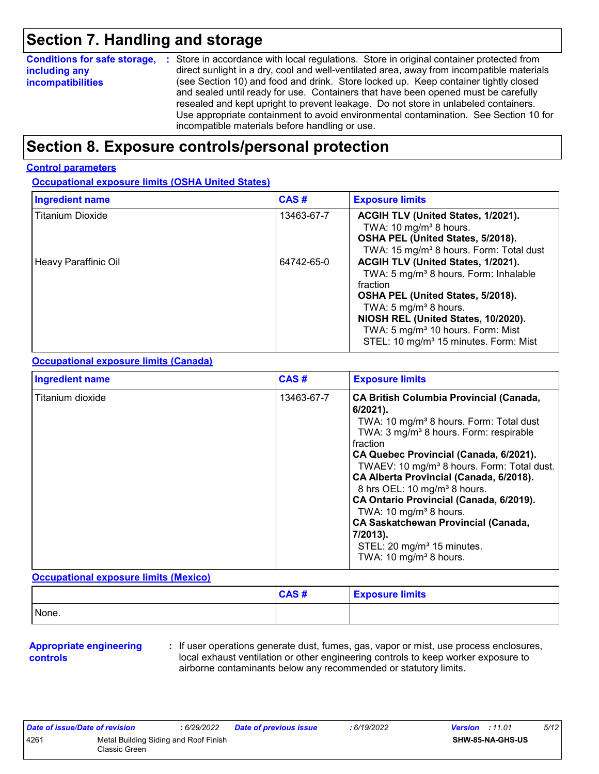### **Section 7. Handling and storage**

| <b>Conditions for safe storage,</b> | : Store in accordance with local regulations. Store in original container protected from  |
|-------------------------------------|-------------------------------------------------------------------------------------------|
| including any                       | direct sunlight in a dry, cool and well-ventilated area, away from incompatible materials |
| <b>incompatibilities</b>            | (see Section 10) and food and drink. Store locked up. Keep container tightly closed       |
|                                     | and sealed until ready for use. Containers that have been opened must be carefully        |
|                                     | resealed and kept upright to prevent leakage. Do not store in unlabeled containers.       |
|                                     | Use appropriate containment to avoid environmental contamination. See Section 10 for      |
|                                     | incompatible materials before handling or use.                                            |

### **Section 8. Exposure controls/personal protection**

#### **Control parameters**

#### **Occupational exposure limits (OSHA United States)**

| <b>Ingredient name</b>  | CAS#       | <b>Exposure limits</b>                                                                                                                                                                                                                                                                                                     |
|-------------------------|------------|----------------------------------------------------------------------------------------------------------------------------------------------------------------------------------------------------------------------------------------------------------------------------------------------------------------------------|
| <b>Titanium Dioxide</b> | 13463-67-7 | ACGIH TLV (United States, 1/2021).<br>TWA: 10 mg/m <sup>3</sup> 8 hours.<br>OSHA PEL (United States, 5/2018).<br>TWA: 15 mg/m <sup>3</sup> 8 hours. Form: Total dust                                                                                                                                                       |
| Heavy Paraffinic Oil    | 64742-65-0 | ACGIH TLV (United States, 1/2021).<br>TWA: 5 mg/m <sup>3</sup> 8 hours. Form: Inhalable<br>fraction<br>OSHA PEL (United States, 5/2018).<br>TWA: 5 mg/m <sup>3</sup> 8 hours.<br>NIOSH REL (United States, 10/2020).<br>TWA: 5 mg/m <sup>3</sup> 10 hours. Form: Mist<br>STEL: 10 mg/m <sup>3</sup> 15 minutes. Form: Mist |

#### **Occupational exposure limits (Canada)**

| <b>Ingredient name</b> | CAS#       | <b>Exposure limits</b>                                                                                                                                                                                                                                                                                                                                                                                                                                                                                                                                                                                       |
|------------------------|------------|--------------------------------------------------------------------------------------------------------------------------------------------------------------------------------------------------------------------------------------------------------------------------------------------------------------------------------------------------------------------------------------------------------------------------------------------------------------------------------------------------------------------------------------------------------------------------------------------------------------|
| Titanium dioxide       | 13463-67-7 | <b>CA British Columbia Provincial (Canada,</b><br>$6/2021$ ).<br>TWA: 10 mg/m <sup>3</sup> 8 hours. Form: Total dust<br>TWA: 3 mg/m <sup>3</sup> 8 hours. Form: respirable<br>fraction<br>CA Quebec Provincial (Canada, 6/2021).<br>TWAEV: 10 mg/m <sup>3</sup> 8 hours. Form: Total dust.<br>CA Alberta Provincial (Canada, 6/2018).<br>8 hrs OEL: 10 mg/m <sup>3</sup> 8 hours.<br>CA Ontario Provincial (Canada, 6/2019).<br>TWA: 10 mg/m <sup>3</sup> 8 hours.<br><b>CA Saskatchewan Provincial (Canada,</b><br>7/2013).<br>STEL: 20 mg/m <sup>3</sup> 15 minutes.<br>TWA: 10 mg/m <sup>3</sup> 8 hours. |

#### **Occupational exposure limits (Mexico)**

|       | CAS# | <b>Exposure limits</b> |
|-------|------|------------------------|
| None. |      |                        |

#### **Appropriate engineering controls**

**:** If user operations generate dust, fumes, gas, vapor or mist, use process enclosures, local exhaust ventilation or other engineering controls to keep worker exposure to airborne contaminants below any recommended or statutory limits.

| Date of issue/Date of revision |                                                         | : 6/29/2022 | <b>Date of previous issue</b> | : 6/19/2022 | <b>Version</b> : 11.01 |                         | 5/12 |
|--------------------------------|---------------------------------------------------------|-------------|-------------------------------|-------------|------------------------|-------------------------|------|
| 4261                           | Metal Building Siding and Roof Finish<br>Classic Green. |             |                               |             |                        | <b>SHW-85-NA-GHS-US</b> |      |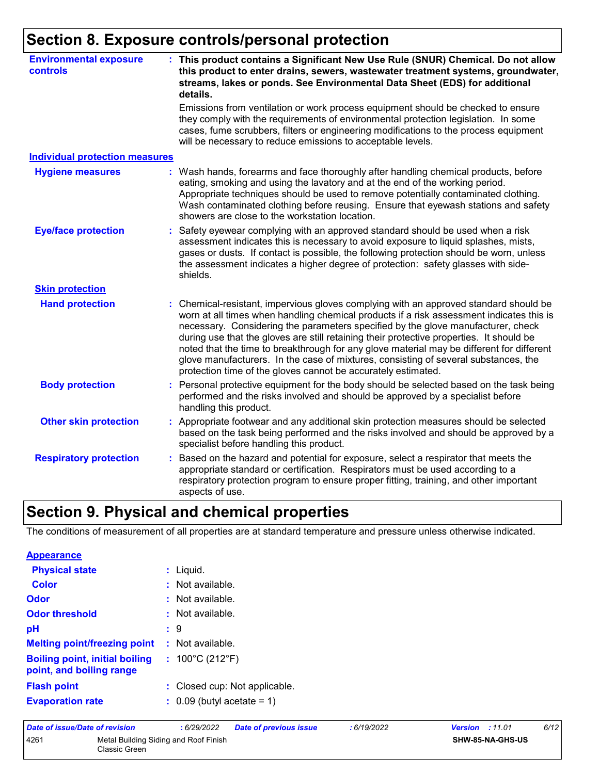# **Section 8. Exposure controls/personal protection**

| <b>Environmental exposure</b><br><b>controls</b> | : This product contains a Significant New Use Rule (SNUR) Chemical. Do not allow<br>this product to enter drains, sewers, wastewater treatment systems, groundwater,<br>streams, lakes or ponds. See Environmental Data Sheet (EDS) for additional<br>details.                                                                                                                                                                                                                                                                                                                                                       |
|--------------------------------------------------|----------------------------------------------------------------------------------------------------------------------------------------------------------------------------------------------------------------------------------------------------------------------------------------------------------------------------------------------------------------------------------------------------------------------------------------------------------------------------------------------------------------------------------------------------------------------------------------------------------------------|
|                                                  | Emissions from ventilation or work process equipment should be checked to ensure<br>they comply with the requirements of environmental protection legislation. In some<br>cases, fume scrubbers, filters or engineering modifications to the process equipment<br>will be necessary to reduce emissions to acceptable levels.                                                                                                                                                                                                                                                                                        |
| <b>Individual protection measures</b>            |                                                                                                                                                                                                                                                                                                                                                                                                                                                                                                                                                                                                                      |
| <b>Hygiene measures</b>                          | Wash hands, forearms and face thoroughly after handling chemical products, before<br>eating, smoking and using the lavatory and at the end of the working period.<br>Appropriate techniques should be used to remove potentially contaminated clothing.<br>Wash contaminated clothing before reusing. Ensure that eyewash stations and safety<br>showers are close to the workstation location.                                                                                                                                                                                                                      |
| <b>Eye/face protection</b>                       | Safety eyewear complying with an approved standard should be used when a risk<br>assessment indicates this is necessary to avoid exposure to liquid splashes, mists,<br>gases or dusts. If contact is possible, the following protection should be worn, unless<br>the assessment indicates a higher degree of protection: safety glasses with side-<br>shields.                                                                                                                                                                                                                                                     |
| <b>Skin protection</b>                           |                                                                                                                                                                                                                                                                                                                                                                                                                                                                                                                                                                                                                      |
| <b>Hand protection</b>                           | Chemical-resistant, impervious gloves complying with an approved standard should be<br>worn at all times when handling chemical products if a risk assessment indicates this is<br>necessary. Considering the parameters specified by the glove manufacturer, check<br>during use that the gloves are still retaining their protective properties. It should be<br>noted that the time to breakthrough for any glove material may be different for different<br>glove manufacturers. In the case of mixtures, consisting of several substances, the<br>protection time of the gloves cannot be accurately estimated. |
| <b>Body protection</b>                           | Personal protective equipment for the body should be selected based on the task being<br>performed and the risks involved and should be approved by a specialist before<br>handling this product.                                                                                                                                                                                                                                                                                                                                                                                                                    |
| <b>Other skin protection</b>                     | Appropriate footwear and any additional skin protection measures should be selected<br>based on the task being performed and the risks involved and should be approved by a<br>specialist before handling this product.                                                                                                                                                                                                                                                                                                                                                                                              |
| <b>Respiratory protection</b>                    | Based on the hazard and potential for exposure, select a respirator that meets the<br>÷.<br>appropriate standard or certification. Respirators must be used according to a<br>respiratory protection program to ensure proper fitting, training, and other important<br>aspects of use.                                                                                                                                                                                                                                                                                                                              |

# **Section 9. Physical and chemical properties**

The conditions of measurement of all properties are at standard temperature and pressure unless otherwise indicated.

| <b>Appearance</b>                                                 |                                       |
|-------------------------------------------------------------------|---------------------------------------|
| <b>Physical state</b>                                             | $:$ Liquid.                           |
| Color                                                             | $:$ Not available.                    |
| Odor                                                              | $:$ Not available.                    |
| <b>Odor threshold</b>                                             | $\cdot$ Not available.                |
| pH                                                                | : 9                                   |
| <b>Melting point/freezing point : Not available.</b>              |                                       |
| <b>Boiling point, initial boiling</b><br>point, and boiling range | : $100^{\circ}$ C (212 $^{\circ}$ F)  |
| <b>Flash point</b>                                                | : Closed cup: Not applicable.         |
| <b>Evaporation rate</b>                                           | $\therefore$ 0.09 (butyl acetate = 1) |

| Date of issue/Date of revision |                                                        | : 6/29/2022 | <b>Date of previous issue</b> | : 6/19/2022 | <b>Version</b> : 11.01 |                         | 6/12 |
|--------------------------------|--------------------------------------------------------|-------------|-------------------------------|-------------|------------------------|-------------------------|------|
| 4261                           | Metal Building Siding and Roof Finish<br>Classic Green |             |                               |             |                        | <b>SHW-85-NA-GHS-US</b> |      |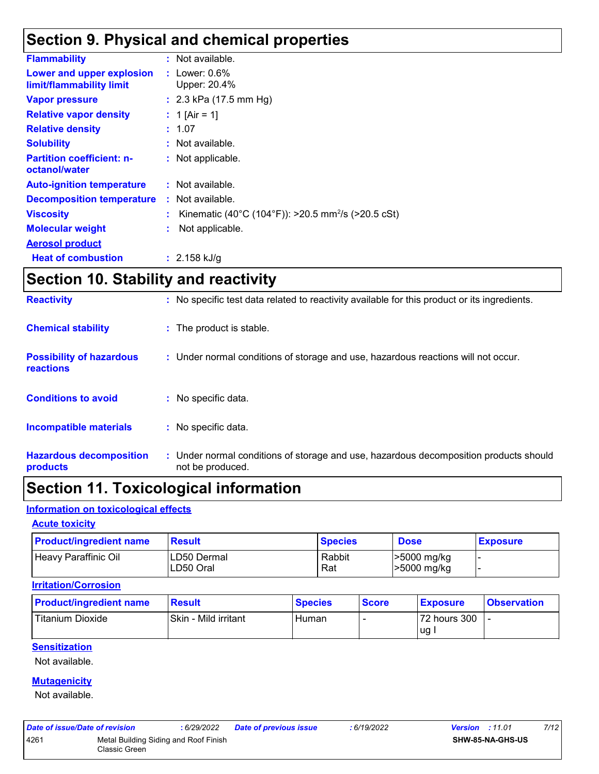### **Section 9. Physical and chemical properties**

| <b>Flammability</b>                                   | : Not available.                                                 |
|-------------------------------------------------------|------------------------------------------------------------------|
| Lower and upper explosion<br>limit/flammability limit | : Lower: $0.6\%$<br>Upper: 20.4%                                 |
| <b>Vapor pressure</b>                                 | : $2.3$ kPa (17.5 mm Hg)                                         |
| <b>Relative vapor density</b>                         | : 1 [Air = 1]                                                    |
| <b>Relative density</b>                               | : 1.07                                                           |
| <b>Solubility</b>                                     | : Not available.                                                 |
| <b>Partition coefficient: n-</b><br>octanol/water     | : Not applicable.                                                |
| <b>Auto-ignition temperature</b>                      | : Not available.                                                 |
| <b>Decomposition temperature</b>                      | : Not available.                                                 |
| <b>Viscosity</b>                                      | : Kinematic (40°C (104°F)): >20.5 mm <sup>2</sup> /s (>20.5 cSt) |
| <b>Molecular weight</b>                               | Not applicable.                                                  |
| <b>Aerosol product</b>                                |                                                                  |
| <b>Heat of combustion</b>                             | : $2.158$ kJ/g                                                   |

### **Section 10. Stability and reactivity**

| <b>Hazardous decomposition</b><br>products          | : Under normal conditions of storage and use, hazardous decomposition products should<br>not be produced. |
|-----------------------------------------------------|-----------------------------------------------------------------------------------------------------------|
| Incompatible materials                              | : No specific data.                                                                                       |
| <b>Conditions to avoid</b>                          | : No specific data.                                                                                       |
| <b>Possibility of hazardous</b><br><b>reactions</b> | : Under normal conditions of storage and use, hazardous reactions will not occur.                         |
| <b>Chemical stability</b>                           | : The product is stable.                                                                                  |
| <b>Reactivity</b>                                   | : No specific test data related to reactivity available for this product or its ingredients.              |

### **Section 11. Toxicological information**

#### **Information on toxicological effects**

#### **Acute toxicity**

| <b>Product/ingredient name</b> | <b>Result</b>             | <b>Species</b> | <b>Dose</b>                | <b>Exposure</b> |
|--------------------------------|---------------------------|----------------|----------------------------|-----------------|
| Heavy Paraffinic Oil           | ILD50 Dermal<br>LD50 Oral | Rabbit<br>Rat  | >5000 mg/kg<br>>5000 mg/kg |                 |

#### **Irritation/Corrosion**

| <b>Product/ingredient name</b> | <b>Result</b>        | <b>Species</b> | <b>Score</b> | <b>Exposure</b> | <b>Observation</b> |
|--------------------------------|----------------------|----------------|--------------|-----------------|--------------------|
| <b>Titanium Dioxide</b>        | Skin - Mild irritant | Human          |              | 72 hours 300    |                    |
|                                |                      |                |              | lug.            |                    |

#### **Sensitization**

Not available.

#### **Mutagenicity**

Not available.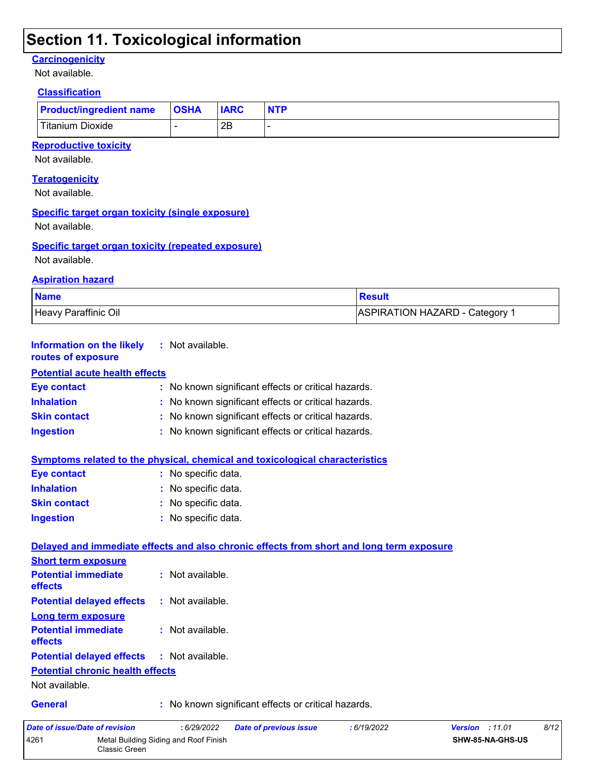### **Section 11. Toxicological information**

#### **Carcinogenicity**

Not available.

#### **Classification**

| <b>Product/ingredient name OSHA</b> | <b>IARC</b> | <b>NTP</b> |
|-------------------------------------|-------------|------------|
| Titanium Dioxide                    | 2E          |            |

#### **Reproductive toxicity**

Not available.

#### **Teratogenicity**

Not available.

#### **Specific target organ toxicity (single exposure)**

Not available.

#### **Specific target organ toxicity (repeated exposure)**

Classic Green

Not available.

#### **Aspiration hazard**

| <b>Name</b>          | <b>Result</b>                         |
|----------------------|---------------------------------------|
| Heavy Paraffinic Oil | <b>ASPIRATION HAZARD - Category 1</b> |

| <b>Information on the likely</b><br>routes of exposure   | : Not available.                                                                                             |
|----------------------------------------------------------|--------------------------------------------------------------------------------------------------------------|
| <b>Potential acute health effects</b>                    |                                                                                                              |
| <b>Eye contact</b>                                       | : No known significant effects or critical hazards.                                                          |
| <b>Inhalation</b>                                        | No known significant effects or critical hazards.                                                            |
| <b>Skin contact</b>                                      | : No known significant effects or critical hazards.                                                          |
| <b>Ingestion</b>                                         | : No known significant effects or critical hazards.                                                          |
|                                                          | <b>Symptoms related to the physical, chemical and toxicological characteristics</b>                          |
| <b>Eye contact</b>                                       | : No specific data.                                                                                          |
| <b>Inhalation</b>                                        | : No specific data.                                                                                          |
| <b>Skin contact</b>                                      | : No specific data.                                                                                          |
| <b>Ingestion</b>                                         | : No specific data.                                                                                          |
| <b>Short term exposure</b><br><b>Potential immediate</b> | Delayed and immediate effects and also chronic effects from short and long term exposure<br>: Not available. |
| <b>effects</b>                                           |                                                                                                              |
| <b>Potential delayed effects</b>                         | : Not available.                                                                                             |
| Long term exposure                                       |                                                                                                              |
| <b>Potential immediate</b><br>effects                    | : Not available.                                                                                             |
| <b>Potential delayed effects</b>                         | : Not available.                                                                                             |
| <b>Potential chronic health effects</b>                  |                                                                                                              |
| Not available.                                           |                                                                                                              |
| <b>General</b>                                           | : No known significant effects or critical hazards.                                                          |
| Date of issue/Date of revision                           | : 6/29/2022<br>8/12<br><b>Date of previous issue</b><br>: 6/19/2022<br><b>Version : 11.01</b>                |
| 4261                                                     | Metal Building Siding and Roof Finish<br>SHW-85-NA-GHS-US                                                    |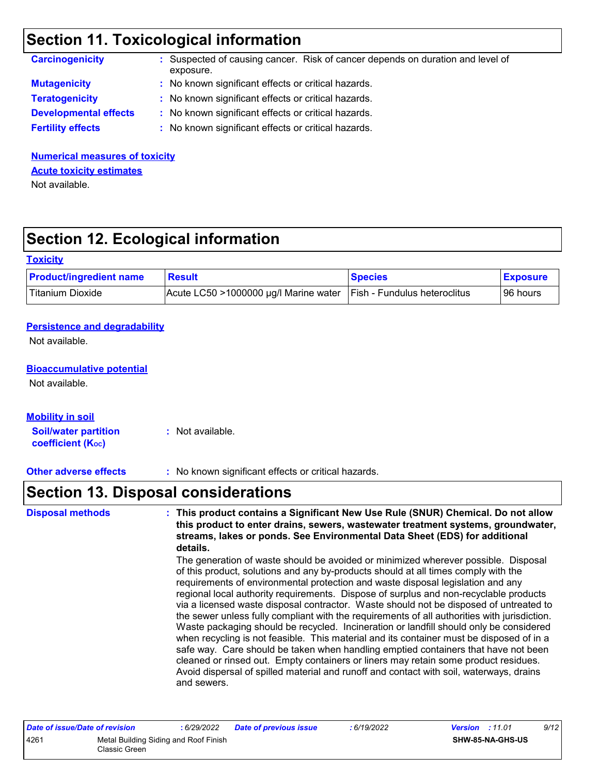### **Section 11. Toxicological information**

| <b>Carcinogenicity</b>       | : Suspected of causing cancer. Risk of cancer depends on duration and level of<br>exposure. |
|------------------------------|---------------------------------------------------------------------------------------------|
| <b>Mutagenicity</b>          | : No known significant effects or critical hazards.                                         |
| <b>Teratogenicity</b>        | : No known significant effects or critical hazards.                                         |
| <b>Developmental effects</b> | : No known significant effects or critical hazards.                                         |
| <b>Fertility effects</b>     | : No known significant effects or critical hazards.                                         |

**Numerical measures of toxicity** Not available. **Acute toxicity estimates**

# **Section 12. Ecological information**

#### **Toxicity**

| <b>Product/ingredient name</b> | <b>Result</b>                         | <b>Species</b>               | <b>Exposure</b> |
|--------------------------------|---------------------------------------|------------------------------|-----------------|
| Titanium Dioxide               | Acute LC50 >1000000 µg/l Marine water | Fish - Fundulus heteroclitus | 96 hours        |

#### **Persistence and degradability**

Not available.

#### **Bioaccumulative potential**

Not available.

#### **Mobility in soil**

**Soil/water partition coefficient (KOC) :** Not available.

**Other adverse effects** : No known significant effects or critical hazards.

### **Section 13. Disposal considerations**

| <b>Disposal methods</b> | : This product contains a Significant New Use Rule (SNUR) Chemical. Do not allow<br>this product to enter drains, sewers, wastewater treatment systems, groundwater,<br>streams, lakes or ponds. See Environmental Data Sheet (EDS) for additional<br>details.<br>The generation of waste should be avoided or minimized wherever possible. Disposal<br>of this product, solutions and any by-products should at all times comply with the<br>requirements of environmental protection and waste disposal legislation and any<br>regional local authority requirements. Dispose of surplus and non-recyclable products<br>via a licensed waste disposal contractor. Waste should not be disposed of untreated to<br>the sewer unless fully compliant with the requirements of all authorities with jurisdiction.<br>Waste packaging should be recycled. Incineration or landfill should only be considered<br>when recycling is not feasible. This material and its container must be disposed of in a<br>safe way. Care should be taken when handling emptied containers that have not been<br>cleaned or rinsed out. Empty containers or liners may retain some product residues.<br>Avoid dispersal of spilled material and runoff and contact with soil, waterways, drains |
|-------------------------|--------------------------------------------------------------------------------------------------------------------------------------------------------------------------------------------------------------------------------------------------------------------------------------------------------------------------------------------------------------------------------------------------------------------------------------------------------------------------------------------------------------------------------------------------------------------------------------------------------------------------------------------------------------------------------------------------------------------------------------------------------------------------------------------------------------------------------------------------------------------------------------------------------------------------------------------------------------------------------------------------------------------------------------------------------------------------------------------------------------------------------------------------------------------------------------------------------------------------------------------------------------------------------|
|                         | and sewers.                                                                                                                                                                                                                                                                                                                                                                                                                                                                                                                                                                                                                                                                                                                                                                                                                                                                                                                                                                                                                                                                                                                                                                                                                                                                    |

| Date of issue/Date of revision |                                                        | : 6/29/2022 | <b>Date of previous issue</b> | : 6/19/2022 | <b>Version</b> : 11.01  | 9/12 |
|--------------------------------|--------------------------------------------------------|-------------|-------------------------------|-------------|-------------------------|------|
| 4261                           | Metal Building Siding and Roof Finish<br>Classic Green |             |                               |             | <b>SHW-85-NA-GHS-US</b> |      |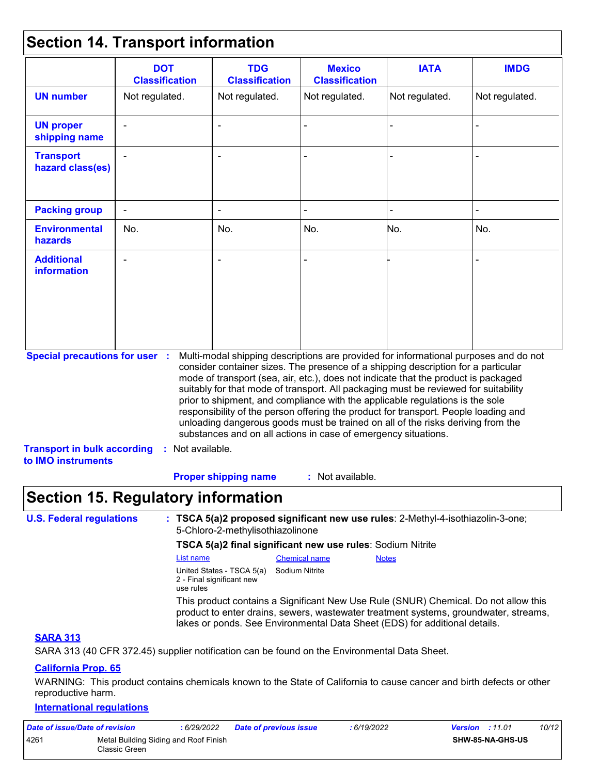### **Section 14. Transport information**

|                                                                                                   | <b>DOT</b><br><b>Classification</b> | <b>TDG</b><br><b>Classification</b>                                                                                                                                                                                                                                                                                                                                                                                                                                                                                                                                                                                                                                                 | <b>Mexico</b><br><b>Classification</b> | <b>IATA</b>    | <b>IMDG</b>    |
|---------------------------------------------------------------------------------------------------|-------------------------------------|-------------------------------------------------------------------------------------------------------------------------------------------------------------------------------------------------------------------------------------------------------------------------------------------------------------------------------------------------------------------------------------------------------------------------------------------------------------------------------------------------------------------------------------------------------------------------------------------------------------------------------------------------------------------------------------|----------------------------------------|----------------|----------------|
| <b>UN number</b>                                                                                  | Not regulated.                      | Not regulated.                                                                                                                                                                                                                                                                                                                                                                                                                                                                                                                                                                                                                                                                      | Not regulated.                         | Not regulated. | Not regulated. |
| <b>UN proper</b><br>shipping name                                                                 |                                     |                                                                                                                                                                                                                                                                                                                                                                                                                                                                                                                                                                                                                                                                                     |                                        |                |                |
| <b>Transport</b><br>hazard class(es)                                                              |                                     |                                                                                                                                                                                                                                                                                                                                                                                                                                                                                                                                                                                                                                                                                     |                                        |                |                |
| <b>Packing group</b>                                                                              |                                     |                                                                                                                                                                                                                                                                                                                                                                                                                                                                                                                                                                                                                                                                                     |                                        |                |                |
| <b>Environmental</b><br>hazards                                                                   | No.                                 | No.                                                                                                                                                                                                                                                                                                                                                                                                                                                                                                                                                                                                                                                                                 | No.                                    | No.            | No.            |
| <b>Additional</b><br><b>information</b>                                                           |                                     |                                                                                                                                                                                                                                                                                                                                                                                                                                                                                                                                                                                                                                                                                     |                                        |                |                |
| <b>Special precautions for user :</b><br><b>Transport in bulk according</b><br>to IMO instruments | : Not available.                    | Multi-modal shipping descriptions are provided for informational purposes and do not<br>consider container sizes. The presence of a shipping description for a particular<br>mode of transport (sea, air, etc.), does not indicate that the product is packaged<br>suitably for that mode of transport. All packaging must be reviewed for suitability<br>prior to shipment, and compliance with the applicable regulations is the sole<br>responsibility of the person offering the product for transport. People loading and<br>unloading dangerous goods must be trained on all of the risks deriving from the<br>substances and on all actions in case of emergency situations. |                                        |                |                |
|                                                                                                   |                                     | <b>Proper shipping name</b>                                                                                                                                                                                                                                                                                                                                                                                                                                                                                                                                                                                                                                                         | : Not available.                       |                |                |

### **Section 15. Regulatory information**

| <b>U.S. Federal regulations</b> | : TSCA 5(a)2 proposed significant new use rules: 2-Methyl-4-isothiazolin-3-one; |  |
|---------------------------------|---------------------------------------------------------------------------------|--|
|                                 | 5-Chloro-2-methylisothiazolinone                                                |  |

#### **TSCA 5(a)2 final significant new use rules**: Sodium Nitrite

| List name                                                           | <b>Chemical name</b> | <b>Notes</b>                                                                                                                                                                                                                                              |
|---------------------------------------------------------------------|----------------------|-----------------------------------------------------------------------------------------------------------------------------------------------------------------------------------------------------------------------------------------------------------|
| United States - TSCA 5(a)<br>2 - Final significant new<br>use rules | Sodium Nitrite       |                                                                                                                                                                                                                                                           |
|                                                                     |                      | This product contains a Significant New Use Rule (SNUR) Chemical. Do not allow this<br>product to enter drains, sewers, wastewater treatment systems, groundwater, streams,<br>lakes or ponds. See Environmental Data Sheet (EDS) for additional details. |

#### **SARA 313**

SARA 313 (40 CFR 372.45) supplier notification can be found on the Environmental Data Sheet.

#### **California Prop. 65**

WARNING: This product contains chemicals known to the State of California to cause cancer and birth defects or other reproductive harm.

#### **International regulations**

| Date of issue/Date of revision |                                                        | : 6/29/2022 | <b>Date of previous issue</b> | : 6/19/2022 | <b>Version</b> : 11.01 |                         | 10/12 |
|--------------------------------|--------------------------------------------------------|-------------|-------------------------------|-------------|------------------------|-------------------------|-------|
| 4261                           | Metal Building Siding and Roof Finish<br>Classic Green |             |                               |             |                        | <b>SHW-85-NA-GHS-US</b> |       |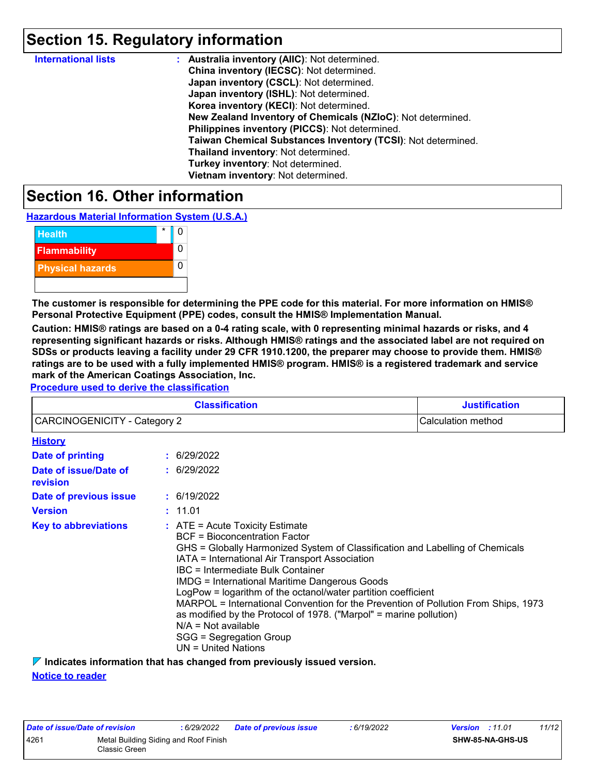### **Section 15. Regulatory information**

| <b>International lists</b> | : Australia inventory (AIIC): Not determined.                |
|----------------------------|--------------------------------------------------------------|
|                            | China inventory (IECSC): Not determined.                     |
|                            | Japan inventory (CSCL): Not determined.                      |
|                            | Japan inventory (ISHL): Not determined.                      |
|                            | Korea inventory (KECI): Not determined.                      |
|                            | New Zealand Inventory of Chemicals (NZIoC): Not determined.  |
|                            | Philippines inventory (PICCS): Not determined.               |
|                            | Taiwan Chemical Substances Inventory (TCSI): Not determined. |
|                            | Thailand inventory: Not determined.                          |
|                            | Turkey inventory: Not determined.                            |
|                            | Vietnam inventory: Not determined.                           |

### **Section 16. Other information**

**Hazardous Material Information System (U.S.A.)**



**The customer is responsible for determining the PPE code for this material. For more information on HMIS® Personal Protective Equipment (PPE) codes, consult the HMIS® Implementation Manual.**

**Caution: HMIS® ratings are based on a 0-4 rating scale, with 0 representing minimal hazards or risks, and 4 representing significant hazards or risks. Although HMIS® ratings and the associated label are not required on SDSs or products leaving a facility under 29 CFR 1910.1200, the preparer may choose to provide them. HMIS® ratings are to be used with a fully implemented HMIS® program. HMIS® is a registered trademark and service mark of the American Coatings Association, Inc.**

**Procedure used to derive the classification**

| <b>Classification</b><br><b>CARCINOGENICITY - Category 2</b> |  |                                                                                                                                                                                                                                                                                                                                                                                                                                                                                                                                                                                                                     | <b>Justification</b><br>Calculation method |  |  |
|--------------------------------------------------------------|--|---------------------------------------------------------------------------------------------------------------------------------------------------------------------------------------------------------------------------------------------------------------------------------------------------------------------------------------------------------------------------------------------------------------------------------------------------------------------------------------------------------------------------------------------------------------------------------------------------------------------|--------------------------------------------|--|--|
|                                                              |  |                                                                                                                                                                                                                                                                                                                                                                                                                                                                                                                                                                                                                     |                                            |  |  |
| <b>Date of printing</b>                                      |  | : 6/29/2022                                                                                                                                                                                                                                                                                                                                                                                                                                                                                                                                                                                                         |                                            |  |  |
| Date of issue/Date of<br>revision                            |  | : 6/29/2022                                                                                                                                                                                                                                                                                                                                                                                                                                                                                                                                                                                                         |                                            |  |  |
| Date of previous issue                                       |  | : 6/19/2022                                                                                                                                                                                                                                                                                                                                                                                                                                                                                                                                                                                                         |                                            |  |  |
| <b>Version</b>                                               |  | : 11.01                                                                                                                                                                                                                                                                                                                                                                                                                                                                                                                                                                                                             |                                            |  |  |
| <b>Key to abbreviations</b>                                  |  | $:$ ATE = Acute Toxicity Estimate<br><b>BCF</b> = Bioconcentration Factor<br>GHS = Globally Harmonized System of Classification and Labelling of Chemicals<br>IATA = International Air Transport Association<br>IBC = Intermediate Bulk Container<br><b>IMDG = International Maritime Dangerous Goods</b><br>LogPow = logarithm of the octanol/water partition coefficient<br>MARPOL = International Convention for the Prevention of Pollution From Ships, 1973<br>as modified by the Protocol of 1978. ("Marpol" = marine pollution)<br>$N/A = Not available$<br>SGG = Segregation Group<br>$UN = United Nations$ |                                            |  |  |

**Indicates information that has changed from previously issued version.**

**Notice to reader**

| Date of issue/Date of revision |                                                        | : 6/29/2022 | <b>Date of previous issue</b> | : 6/19/2022 | <b>Version</b> : 11.01 |                         | 11/12 |
|--------------------------------|--------------------------------------------------------|-------------|-------------------------------|-------------|------------------------|-------------------------|-------|
| 4261                           | Metal Building Siding and Roof Finish<br>Classic Green |             |                               |             |                        | <b>SHW-85-NA-GHS-US</b> |       |